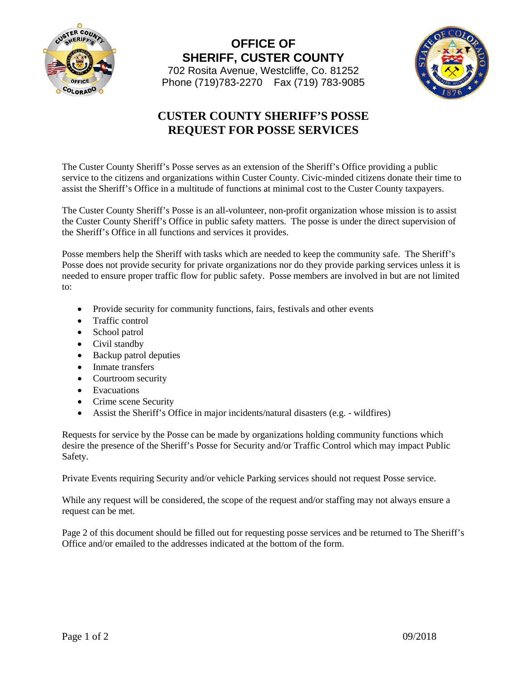

**OFFICE OF SHERIFF, CUSTER COUNTY** 702 Rosita Avenue, Westcliffe, Co. 81252 Phone (719)783-2270 Fax (719) 783-9085



## **CUSTER COUNTY SHERIFF'S POSSE REQUEST FOR POSSE SERVICES**

The Custer County Sheriff's Posse serves as an extension of the Sheriff's Office providing a public service to the citizens and organizations within Custer County. Civic-minded citizens donate their time to assist the Sheriff's Office in a multitude of functions at minimal cost to the Custer County taxpayers.

The Custer County Sheriff's Posse is an all-volunteer, non-profit organization whose mission is to assist the Custer County Sheriff's Office in public safety matters. The posse is under the direct supervision of the Sheriff's Office in all functions and services it provides.

Posse members help the Sheriff with tasks which are needed to keep the community safe. The Sheriff's Posse does not provide security for private organizations nor do they provide parking services unless it is needed to ensure proper traffic flow for public safety. Posse members are involved in but are not limited to:

- Provide security for community functions, fairs, festivals and other events
- Traffic control
- School patrol
- Civil standby
- Backup patrol deputies
- Inmate transfers
- Courtroom security
- Evacuations
- Crime scene Security
- Assist the Sheriff's Office in major incidents/natural disasters (e.g. wildfires)

Requests for service by the Posse can be made by organizations holding community functions which desire the presence of the Sheriff's Posse for Security and/or Traffic Control which may impact Public Safety.

Private Events requiring Security and/or vehicle Parking services should not request Posse service.

While any request will be considered, the scope of the request and/or staffing may not always ensure a request can be met.

Page 2 of this document should be filled out for requesting posse services and be returned to The Sheriff's Office and/or emailed to the addresses indicated at the bottom of the form.